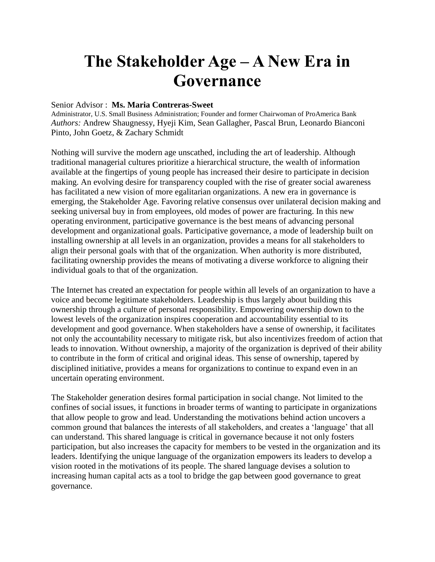## **The Stakeholder Age – A New Era in Governance**

## Senior Advisor : **Ms. Maria Contreras-Sweet**

Administrator, U.S. Small Business Administration; Founder and former Chairwoman of ProAmerica Bank *Authors:* Andrew Shaugnessy, Hyeji Kim, Sean Gallagher, Pascal Brun, Leonardo Bianconi Pinto, John Goetz, & Zachary Schmidt

Nothing will survive the modern age unscathed, including the art of leadership. Although traditional managerial cultures prioritize a hierarchical structure, the wealth of information available at the fingertips of young people has increased their desire to participate in decision making. An evolving desire for transparency coupled with the rise of greater social awareness has facilitated a new vision of more egalitarian organizations. A new era in governance is emerging, the Stakeholder Age. Favoring relative consensus over unilateral decision making and seeking universal buy in from employees, old modes of power are fracturing. In this new operating environment, participative governance is the best means of advancing personal development and organizational goals. Participative governance, a mode of leadership built on installing ownership at all levels in an organization, provides a means for all stakeholders to align their personal goals with that of the organization. When authority is more distributed, facilitating ownership provides the means of motivating a diverse workforce to aligning their individual goals to that of the organization.

The Internet has created an expectation for people within all levels of an organization to have a voice and become legitimate stakeholders. Leadership is thus largely about building this ownership through a culture of personal responsibility. Empowering ownership down to the lowest levels of the organization inspires cooperation and accountability essential to its development and good governance. When stakeholders have a sense of ownership, it facilitates not only the accountability necessary to mitigate risk, but also incentivizes freedom of action that leads to innovation. Without ownership, a majority of the organization is deprived of their ability to contribute in the form of critical and original ideas. This sense of ownership, tapered by disciplined initiative, provides a means for organizations to continue to expand even in an uncertain operating environment.

The Stakeholder generation desires formal participation in social change. Not limited to the confines of social issues, it functions in broader terms of wanting to participate in organizations that allow people to grow and lead. Understanding the motivations behind action uncovers a common ground that balances the interests of all stakeholders, and creates a 'language' that all can understand. This shared language is critical in governance because it not only fosters participation, but also increases the capacity for members to be vested in the organization and its leaders. Identifying the unique language of the organization empowers its leaders to develop a vision rooted in the motivations of its people. The shared language devises a solution to increasing human capital acts as a tool to bridge the gap between good governance to great governance.